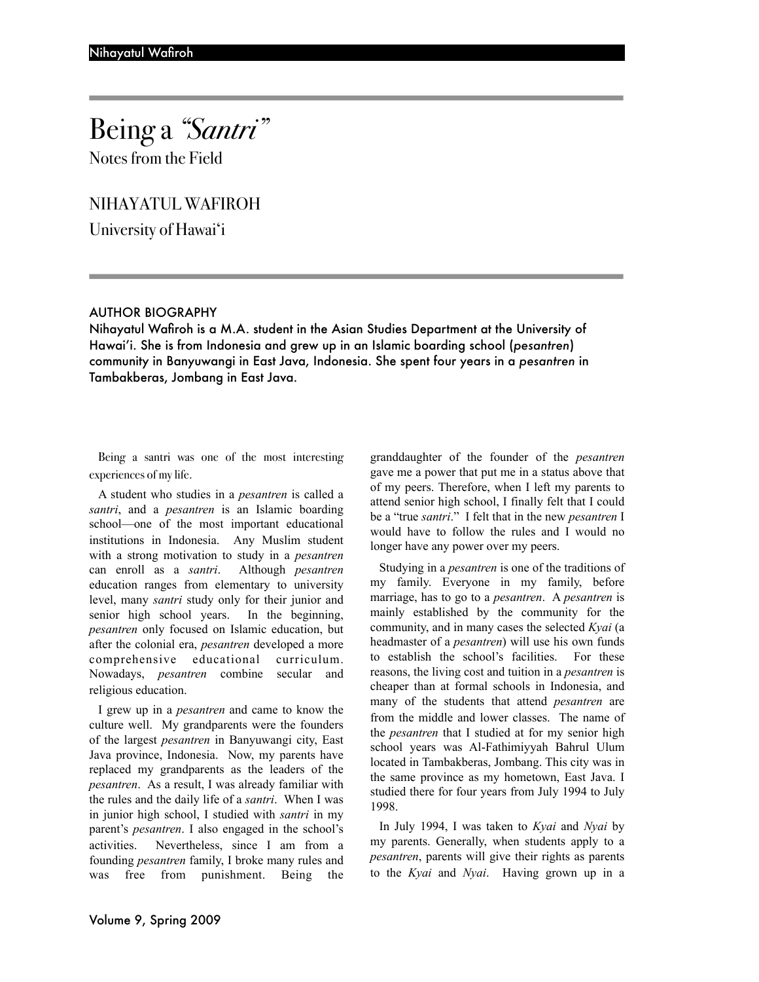Notes from the Field

NIHAYATUL WAFIROH

University of Hawai'i

## AUTHOR BIOGRAPHY

Nihayatul Wafiroh is a M.A. student in the Asian Studies Department at the University of Hawai'i. She is from Indonesia and grew up in an Islamic boarding school (*pesantren*) community in Banyuwangi in East Java, Indonesia. She spent four years in a *pesantren* in Tambakberas, Jombang in East Java.

Being a santri was one of the most interesting experiences of my life.

A student who studies in a *pesantren* is called a *santri*, and a *pesantren* is an Islamic boarding school—one of the most important educational institutions in Indonesia. Any Muslim student with a strong motivation to study in a *pesantren* can enroll as a *santri*. Although *pesantren* education ranges from elementary to university level, many *santri* study only for their junior and senior high school years. In the beginning, *pesantren* only focused on Islamic education, but after the colonial era, *pesantren* developed a more comprehensive educational curriculum. Nowadays, *pesantren* combine secular and religious education.

I grew up in a *pesantren* and came to know the culture well. My grandparents were the founders of the largest *pesantren* in Banyuwangi city, East Java province, Indonesia. Now, my parents have replaced my grandparents as the leaders of the *pesantren*. As a result, I was already familiar with the rules and the daily life of a *santri*. When I was in junior high school, I studied with *santri* in my parent's *pesantren*. I also engaged in the school's activities. Nevertheless, since I am from a founding *pesantren* family, I broke many rules and was free from punishment. Being the

granddaughter of the founder of the *pesantren* gave me a power that put me in a status above that of my peers. Therefore, when I left my parents to attend senior high school, I finally felt that I could be a "true *santri*." I felt that in the new *pesantren* I would have to follow the rules and I would no longer have any power over my peers.

Studying in a *pesantren* is one of the traditions of my family. Everyone in my family, before marriage, has to go to a *pesantren*. A *pesantren* is mainly established by the community for the community, and in many cases the selected *Kyai* (a headmaster of a *pesantren*) will use his own funds to establish the school's facilities. For these reasons, the living cost and tuition in a *pesantren* is cheaper than at formal schools in Indonesia, and many of the students that attend *pesantren* are from the middle and lower classes. The name of the *pesantren* that I studied at for my senior high school years was Al-Fathimiyyah Bahrul Ulum located in Tambakberas, Jombang. This city was in the same province as my hometown, East Java. I studied there for four years from July 1994 to July 1998.

In July 1994, I was taken to *Kyai* and *Nyai* by my parents. Generally, when students apply to a *pesantren*, parents will give their rights as parents to the *Kyai* and *Nyai*. Having grown up in a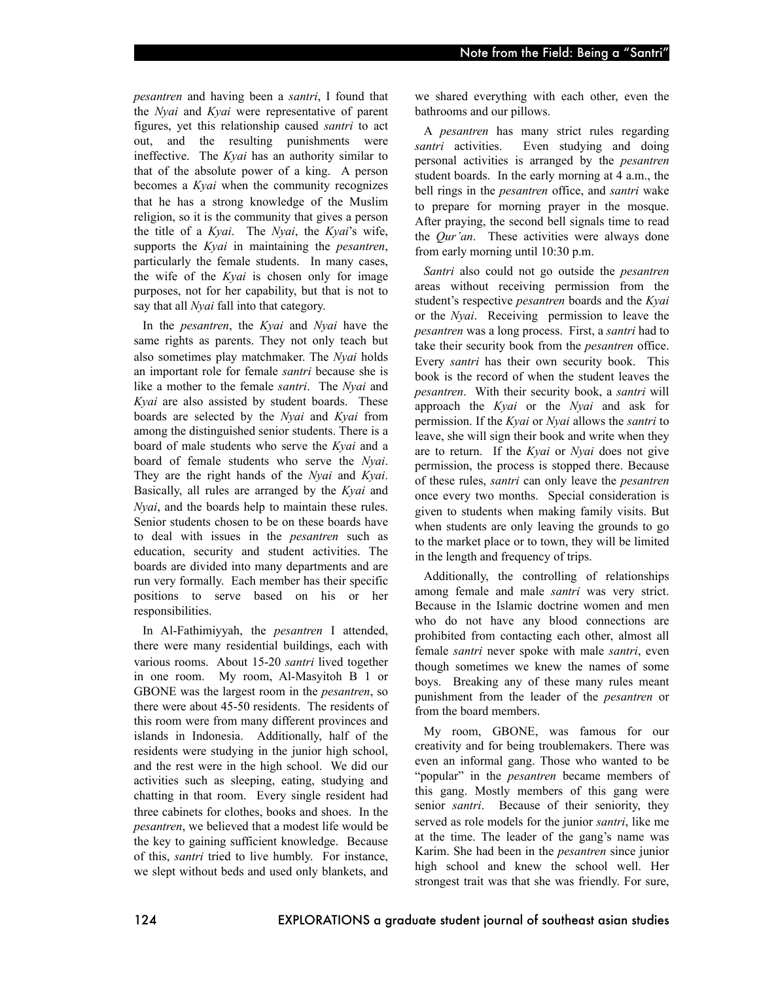*pesantren* and having been a *santri*, I found that the *Nyai* and *Kyai* were representative of parent figures, yet this relationship caused *santri* to act out, and the resulting punishments were ineffective. The *Kyai* has an authority similar to that of the absolute power of a king. A person becomes a *Kyai* when the community recognizes that he has a strong knowledge of the Muslim religion, so it is the community that gives a person the title of a *Kyai*. The *Nyai*, the *Kyai*'s wife, supports the *Kyai* in maintaining the *pesantren*, particularly the female students. In many cases, the wife of the *Kyai* is chosen only for image purposes, not for her capability, but that is not to say that all *Nyai* fall into that category.

In the *pesantren*, the *Kyai* and *Nyai* have the same rights as parents. They not only teach but also sometimes play matchmaker. The *Nyai* holds an important role for female *santri* because she is like a mother to the female *santri*. The *Nyai* and *Kyai* are also assisted by student boards. These boards are selected by the *Nyai* and *Kyai* from among the distinguished senior students. There is a board of male students who serve the *Kyai* and a board of female students who serve the *Nyai*. They are the right hands of the *Nyai* and *Kyai*. Basically, all rules are arranged by the *Kyai* and *Nyai*, and the boards help to maintain these rules. Senior students chosen to be on these boards have to deal with issues in the *pesantren* such as education, security and student activities. The boards are divided into many departments and are run very formally. Each member has their specific positions to serve based on his or her responsibilities.

In Al-Fathimiyyah, the *pesantren* I attended, there were many residential buildings, each with various rooms. About 15-20 *santri* lived together in one room. My room, Al-Masyitoh B 1 or GBONE was the largest room in the *pesantren*, so there were about 45-50 residents. The residents of this room were from many different provinces and islands in Indonesia. Additionally, half of the residents were studying in the junior high school, and the rest were in the high school. We did our activities such as sleeping, eating, studying and chatting in that room. Every single resident had three cabinets for clothes, books and shoes. In the *pesantren*, we believed that a modest life would be the key to gaining sufficient knowledge. Because of this, *santri* tried to live humbly. For instance, we slept without beds and used only blankets, and we shared everything with each other, even the bathrooms and our pillows.

A *pesantren* has many strict rules regarding *santri* activities. Even studying and doing personal activities is arranged by the *pesantren* student boards. In the early morning at 4 a.m., the bell rings in the *pesantren* office, and *santri* wake to prepare for morning prayer in the mosque. After praying, the second bell signals time to read the *Qur'an*. These activities were always done from early morning until 10:30 p.m.

*Santri* also could not go outside the *pesantren* areas without receiving permission from the student's respective *pesantren* boards and the *Kyai* or the *Nyai*. Receiving permission to leave the *pesantren* was a long process. First, a *santri* had to take their security book from the *pesantren* office. Every *santri* has their own security book. This book is the record of when the student leaves the *pesantren*. With their security book, a *santri* will approach the *Kyai* or the *Nyai* and ask for permission. If the *Kyai* or *Nyai* allows the *santri* to leave, she will sign their book and write when they are to return. If the *Kyai* or *Nyai* does not give permission, the process is stopped there. Because of these rules, *santri* can only leave the *pesantren* once every two months. Special consideration is given to students when making family visits. But when students are only leaving the grounds to go to the market place or to town, they will be limited in the length and frequency of trips.

Additionally, the controlling of relationships among female and male *santri* was very strict. Because in the Islamic doctrine women and men who do not have any blood connections are prohibited from contacting each other, almost all female *santri* never spoke with male *santri*, even though sometimes we knew the names of some boys. Breaking any of these many rules meant punishment from the leader of the *pesantren* or from the board members.

My room, GBONE, was famous for our creativity and for being troublemakers. There was even an informal gang. Those who wanted to be "popular" in the *pesantren* became members of this gang. Mostly members of this gang were senior *santri*. Because of their seniority, they served as role models for the junior *santri*, like me at the time. The leader of the gang's name was Karim. She had been in the *pesantren* since junior high school and knew the school well. Her strongest trait was that she was friendly. For sure,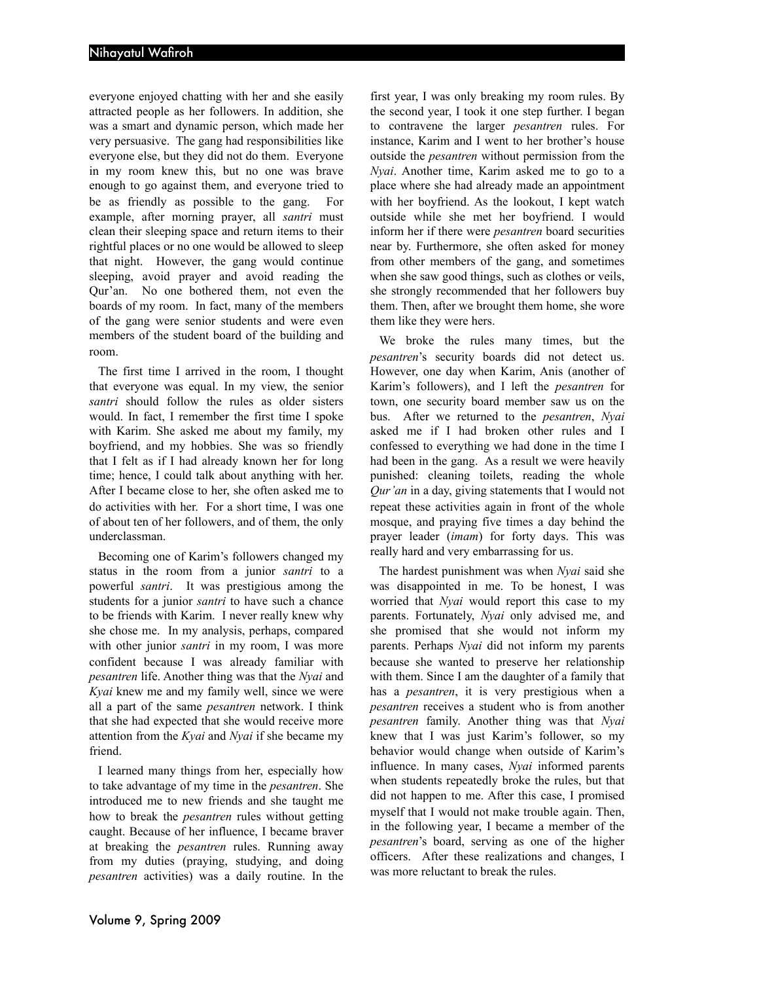everyone enjoyed chatting with her and she easily attracted people as her followers. In addition, she was a smart and dynamic person, which made her very persuasive. The gang had responsibilities like everyone else, but they did not do them. Everyone in my room knew this, but no one was brave enough to go against them, and everyone tried to be as friendly as possible to the gang. For example, after morning prayer, all *santri* must clean their sleeping space and return items to their rightful places or no one would be allowed to sleep that night. However, the gang would continue sleeping, avoid prayer and avoid reading the Qur'an. No one bothered them, not even the boards of my room. In fact, many of the members of the gang were senior students and were even members of the student board of the building and room.

The first time I arrived in the room, I thought that everyone was equal. In my view, the senior *santri* should follow the rules as older sisters would. In fact, I remember the first time I spoke with Karim. She asked me about my family, my boyfriend, and my hobbies. She was so friendly that I felt as if I had already known her for long time; hence, I could talk about anything with her. After I became close to her, she often asked me to do activities with her. For a short time, I was one of about ten of her followers, and of them, the only underclassman.

Becoming one of Karim's followers changed my status in the room from a junior *santri* to a powerful *santri*. It was prestigious among the students for a junior *santri* to have such a chance to be friends with Karim. I never really knew why she chose me. In my analysis, perhaps, compared with other junior *santri* in my room, I was more confident because I was already familiar with *pesantren* life. Another thing was that the *Nyai* and *Kyai* knew me and my family well, since we were all a part of the same *pesantren* network. I think that she had expected that she would receive more attention from the *Kyai* and *Nyai* if she became my friend.

I learned many things from her, especially how to take advantage of my time in the *pesantren*. She introduced me to new friends and she taught me how to break the *pesantren* rules without getting caught. Because of her influence, I became braver at breaking the *pesantren* rules. Running away from my duties (praying, studying, and doing *pesantren* activities) was a daily routine. In the

first year, I was only breaking my room rules. By the second year, I took it one step further. I began to contravene the larger *pesantren* rules. For instance, Karim and I went to her brother's house outside the *pesantren* without permission from the *Nyai*. Another time, Karim asked me to go to a place where she had already made an appointment with her boyfriend. As the lookout, I kept watch outside while she met her boyfriend. I would inform her if there were *pesantren* board securities near by. Furthermore, she often asked for money from other members of the gang, and sometimes when she saw good things, such as clothes or veils, she strongly recommended that her followers buy them. Then, after we brought them home, she wore them like they were hers.

We broke the rules many times, but the *pesantren*'s security boards did not detect us. However, one day when Karim, Anis (another of Karim's followers), and I left the *pesantren* for town, one security board member saw us on the bus. After we returned to the *pesantren*, *Nyai* asked me if I had broken other rules and I confessed to everything we had done in the time I had been in the gang. As a result we were heavily punished: cleaning toilets, reading the whole *Qur'an* in a day, giving statements that I would not repeat these activities again in front of the whole mosque, and praying five times a day behind the prayer leader (*imam*) for forty days. This was really hard and very embarrassing for us.

The hardest punishment was when *Nyai* said she was disappointed in me. To be honest, I was worried that *Nyai* would report this case to my parents. Fortunately, *Nyai* only advised me, and she promised that she would not inform my parents. Perhaps *Nyai* did not inform my parents because she wanted to preserve her relationship with them. Since I am the daughter of a family that has a *pesantren*, it is very prestigious when a *pesantren* receives a student who is from another *pesantren* family. Another thing was that *Nyai* knew that I was just Karim's follower, so my behavior would change when outside of Karim's influence. In many cases, *Nyai* informed parents when students repeatedly broke the rules, but that did not happen to me. After this case, I promised myself that I would not make trouble again. Then, in the following year, I became a member of the *pesantren*'s board, serving as one of the higher officers. After these realizations and changes, I was more reluctant to break the rules.